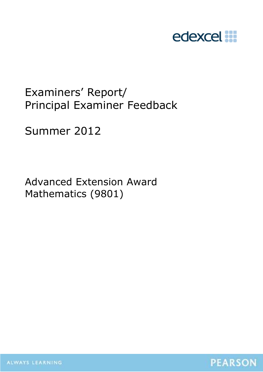

# Examiners' Report/ Principal Examiner Feedback

Summer 2012

Advanced Extension Award Mathematics (9801)



ALWAYS LEARNING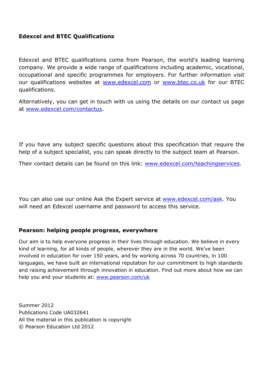## **Edexcel and BTEC Qualifications**

Edexcel and BTEC qualifications come from Pearson, the world's leading learning company. We provide a wide range of qualifications including academic, vocational, occupational and specific programmes for employers. For further information visit our qualifications websites at www.edexcel.com or www.btec.co.uk for our BTEC qualifications.

Alternatively, you can get in touch with us using the details on our contact us page at www.edexcel.com/contactus.

If you have any subject specific questions about this specification that require the help of a subject specialist, you can speak directly to the subject team at Pearson.

Their contact details can be found on this link: www.edexcel.com/teachingservices.

You can also use our online Ask the Expert service at www.edexcel.com/ask. You will need an Edexcel username and password to access this service.

## **Pearson: helping people progress, everywhere**

Our aim is to help everyone progress in their lives through education. We believe in every kind of learning, for all kinds of people, wherever they are in the world. We've been involved in education for over 150 years, and by working across 70 countries, in 100 languages, we have built an international reputation for our commitment to high standards and raising achievement through innovation in education. Find out more about how we can help you and your students at: www.pearson.com/uk

Summer 2012 Publications Code UA032641 All the material in this publication is copyright © Pearson Education Ltd 2012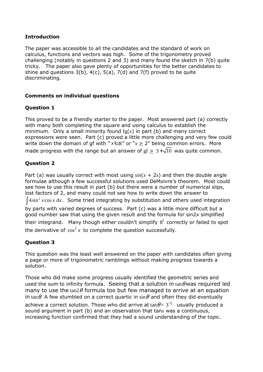#### **Introduction**

The paper was accessible to all the candidates and the standard of work on calculus, functions and vectors was high. Some of the trigonometry proved challenging (notably in questions 2 and 3) and many found the sketch in 7(b) quite tricky. The paper also gave plenty of opportunities for the better candidates to shine and questions  $3(b)$ ,  $4(c)$ ,  $5(a)$ ,  $7(d)$  and  $7(f)$  proved to be quite discriminating.

#### **Comments on individual questions**

#### **Question 1**

This proved to be a friendly starter to the paper. Most answered part (a) correctly with many both completing the square and using calculus to establish the minimum. Only a small minority found  $fg(x)$  in part (b) and many correct expressions were seen. Part (c) proved a little more challenging and very few could write down the domain of gf with " $x \in \mathbb{R}$ " or " $x > 2$ " being common errors. More made progress with the range but an answer of  $gf > 3+\sqrt{10}$  was quite common.

#### **Question 2**

Part (a) was usually correct with most using  $sin(x + 2x)$  and then the double angle formulae although a few successful solutions used DeMoivre's theorem. Most could see how to use this result in part (b) but there were a number of numerical slips, lost factors of 2, and many could not see how to write down the answer to  $\int 4\sin^2 x \cos x \ dx$ . Some tried integrating by substitution and others used integration by parts with varied degrees of success. Part (c) was a little more difficult but a good number saw that using the given result and the formula for sin2*x* simplified their integrand. Many though either couldn't simplify  $8^{\frac{1}{3}}$  correctly or failed to spot the derivative of  $\cos^{\frac{4}{3}} x$  to complete the question successfully.

## **Question 3**

This question was the least well answered on the paper with candidates often giving a page or more of trigonometric ramblings without making progress towards a solution.

Those who did make some progress usually identified the geometric series and used the sum to infinity formula. Seeing that a solution in  $tan \theta$  was required led many to use the  $tan2\theta$  formula too but few managed to arrive at an equation in tan $\theta$ . A few stumbled on a correct quartic in  $\sin \theta$  and often they did eventually achieve a correct solution. Those who did arrive at  $\tan\theta = 3^{-\frac{1}{4}}$  usually produced a sound argument in part (b) and an observation that tan*x* was a continuous, increasing function confirmed that they had a sound understanding of the topic.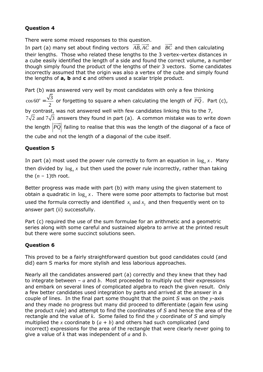# **Question 4**

There were some mixed responses to this question.

In part (a) many set about finding vectors  $\overrightarrow{AB}, \overrightarrow{AC}$  and  $\overrightarrow{BC}$  and then calculating their lengths. Those who related these lengths to the 3 vertex-vertex distances in a cube easily identified the length of a side and found the correct volume, a number though simply found the product of the lengths of their 3 vectors. Some candidates incorrectly assumed that the origin was also a vertex of the cube and simply found the lengths of **a, b** and **c** and others used a scalar triple product.

Part (b) was answered very well by most candidates with only a few thinking  $\cos 60^\circ = \frac{\sqrt{3}}{2}$ 2  $\sigma = \frac{\sqrt{3}}{2}$  or forgetting to square *a* when calculating the length of  $\overrightarrow{PQ}$ . Part (c), by contrast, was not answered well with few candidates linking this to the 7,  $7\sqrt{2}$  and  $7\sqrt{3}$  answers they found in part (a). A common mistake was to write down the length  $|\overrightarrow{PQ}|$  failing to realise that this was the length of the diagonal of a face of the cube and not the length of a diagonal of the cube itself.

# **Question 5**

In part (a) most used the power rule correctly to form an equation in  $\log_a x$ . Many then divided by log*<sup>a</sup> x* but then used the power rule incorrectly, rather than taking the  $(n - 1)$ th root.

Better progress was made with part (b) with many using the given statement to obtain a quadratic in  $\log_a x$ . There were some poor attempts to factorise but most used the formula correctly and identified  $x_1$  and  $x_2$  and then frequently went on to answer part (ii) successfully.

Part (c) required the use of the sum formulae for an arithmetic and a geometric series along with some careful and sustained algebra to arrive at the printed result but there were some succinct solutions seen.

# **Question 6**

This proved to be a fairly straightforward question but good candidates could (and did) earn S marks for more stylish and less laborious approaches.

Nearly all the candidates answered part (a) correctly and they knew that they had to integrate between –  $a$  and  $b$ . Most proceeded to multiply out their expressions and embark on several lines of complicated algebra to reach the given result. Only a few better candidates used integration by parts and arrived at the answer in a couple of lines. In the final part some thought that the point *S* was on the *y*-axis and they made no progress but many did proceed to differentiate (again few using the product rule) and attempt to find the coordinates of *S* and hence the area of the rectangle and the value of *k*. Some failed to find the *y* coordinate of *S* and simply multiplied the x coordinate b  $(a + b)$  and others had such complicated (and incorrect) expressions for the area of the rectangle that were clearly never going to give a value of *k* that was independent of *a* and *b*.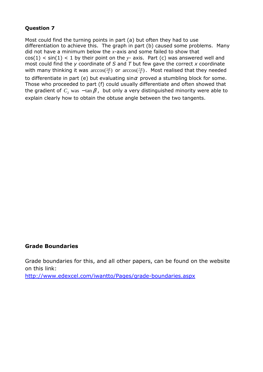## **Question 7**

Most could find the turning points in part (a) but often they had to use differentiation to achieve this. The graph in part (b) caused some problems. Many did not have a minimum below the *x*-axis and some failed to show that  $cos(1) < sin(1) < 1$  by their point on the  $y$ - axis. Part (c) was answered well and most could find the *y* coordinate of *S* and *T* but few gave the correct *x* coordinate with many thinking it was  $\arccos(\frac{5\pi}{4})$  or  $\arccos(\frac{7\pi}{4})$ . Most realised that they needed to differentiate in part (e) but evaluating sin $\alpha$  proved a stumbling block for some. Those who proceeded to part (f) could usually differentiate and often showed that the gradient of  $C_2$  was  $-\tan \beta$ , but only a very distinguished minority were able to explain clearly how to obtain the obtuse angle between the two tangents.

#### **Grade Boundaries**

Grade boundaries for this, and all other papers, can be found on the website on this link:

http://www.edexcel.com/iwantto/Pages/grade-boundaries.aspx